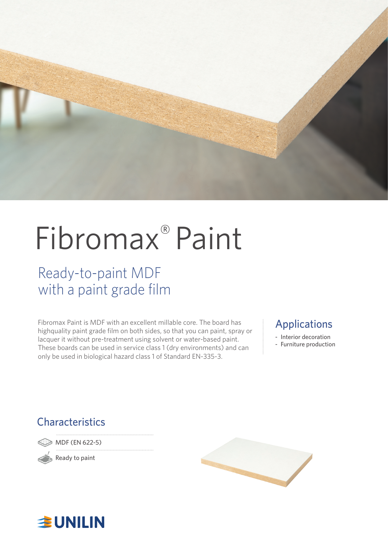

# Fibromax® Paint

### Ready-to-paint MDF with a paint grade film

Fibromax Paint is MDF with an excellent millable core. The board has highquality paint grade film on both sides, so that you can paint, spray or lacquer it without pre-treatment using solvent or water-based paint. These boards can be used in service class 1 (dry environments) and can only be used in biological hazard class 1 of Standard EN-335-3.

### Applications

- Interior decoration
- Furniture production

### **Characteristics**

MDF (EN 622-5)

Ready to paint